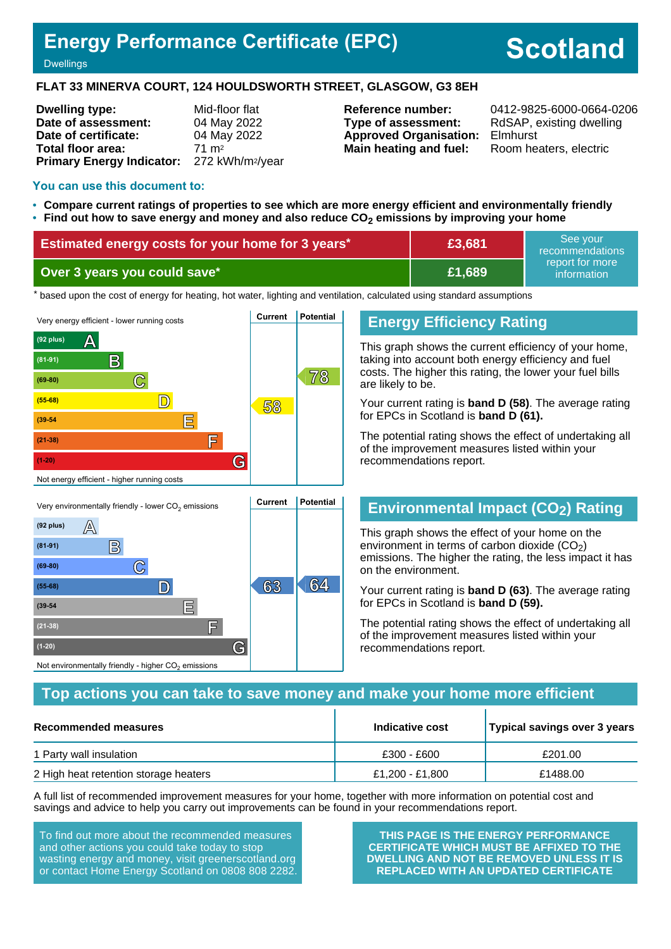## **Energy Performance Certificate (EPC)**

# **Scotland**

#### **Dwellings**

**(81-91) B**

**(69-80) C**

**(39-54 E**

**(21-38) F**

Not environmentally friendly - higher  $\mathrm{CO}_2$  emissions

**(1-20) G**

#### **FLAT 33 MINERVA COURT, 124 HOULDSWORTH STREET, GLASGOW, G3 8EH**

| <b>Dwelling type:</b>                                  | Mid-floor flat   |
|--------------------------------------------------------|------------------|
| Date of assessment:                                    | 04 May 2022      |
| Date of certificate:                                   | 04 May 2022      |
| Total floor area:                                      | $71 \text{ m}^2$ |
| Primary Energy Indicator: 272 kWh/m <sup>2</sup> /year |                  |

**Type of assessment:** RdSAP, existing dwelling **Approved Organisation:** Elmhurst **Main heating and fuel:** Room heaters, electric

**Reference number:** 0412-9825-6000-0664-0206

#### **You can use this document to:**

- **Compare current ratings of properties to see which are more energy efficient and environmentally friendly**
- **Find out how to save energy and money and also reduce CO2 emissions by improving your home**

| Estimated energy costs for your home for 3 years* | £3,681        | See vour<br>recommendations      |
|---------------------------------------------------|---------------|----------------------------------|
| Over 3 years you could save*                      | <b>E1.689</b> | report for more !<br>information |

the based upon the cost of energy for heating, hot water, lighting and ventilation, calculated using standard assumptions



**(55-68) D 63 64**

## taking into account both energy efficiency and fuel

**Energy Efficiency Rating**

costs. The higher this rating, the lower your fuel bills are likely to be.

This graph shows the current efficiency of your home,

Your current rating is **band D (58)**. The average rating for EPCs in Scotland is **band D (61).**

The potential rating shows the effect of undertaking all of the improvement measures listed within your recommendations report.

## **Environmental Impact (CO2) Rating**

This graph shows the effect of your home on the environment in terms of carbon dioxide  $(CO<sub>2</sub>)$ emissions. The higher the rating, the less impact it has on the environment.

Your current rating is **band D (63)**. The average rating for EPCs in Scotland is **band D (59).**

The potential rating shows the effect of undertaking all of the improvement measures listed within your recommendations report.

## **Top actions you can take to save money and make your home more efficient**

| Recommended measures                  | Indicative cost | Typical savings over 3 years |
|---------------------------------------|-----------------|------------------------------|
| 1 Party wall insulation               | £300 - £600     | £201.00                      |
| 2 High heat retention storage heaters | £1,200 - £1,800 | £1488.00                     |

A full list of recommended improvement measures for your home, together with more information on potential cost and savings and advice to help you carry out improvements can be found in your recommendations report.

To find out more about the recommended measures and other actions you could take today to stop wasting energy and money, visit greenerscotland.org or contact Home Energy Scotland on 0808 808 2282.

**THIS PAGE IS THE ENERGY PERFORMANCE CERTIFICATE WHICH MUST BE AFFIXED TO THE DWELLING AND NOT BE REMOVED UNLESS IT IS REPLACED WITH AN UPDATED CERTIFICATE**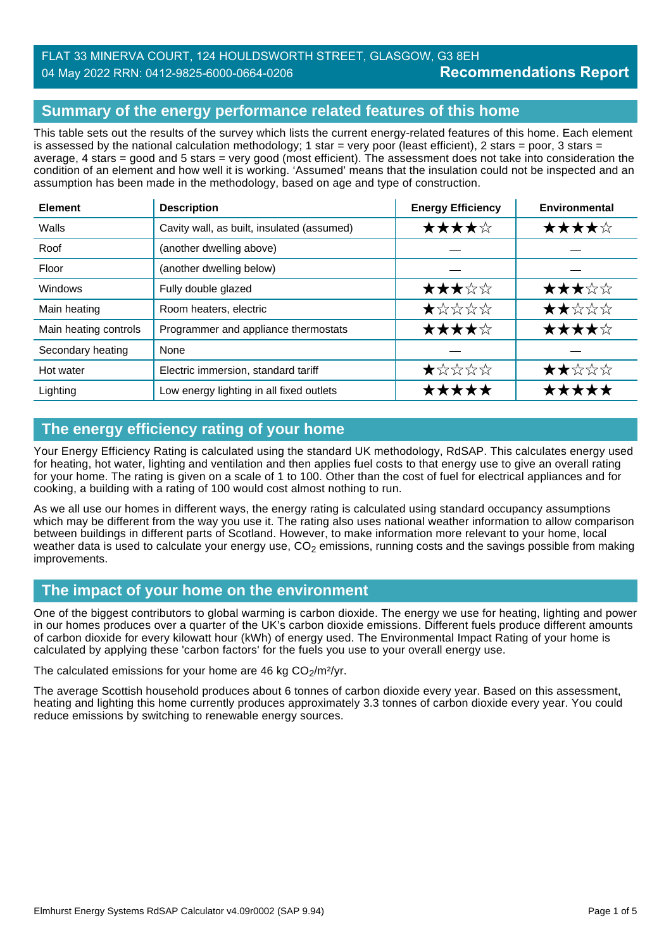## FLAT 33 MINERVA COURT, 124 HOULDSWORTH STREET, GLASGOW, G3 8EH 04 May 2022 RRN: 0412-9825-6000-0664-0206

## **Summary of the energy performance related features of this home**

This table sets out the results of the survey which lists the current energy-related features of this home. Each element is assessed by the national calculation methodology; 1 star = very poor (least efficient), 2 stars = poor, 3 stars = average, 4 stars = good and 5 stars = very good (most efficient). The assessment does not take into consideration the condition of an element and how well it is working. 'Assumed' means that the insulation could not be inspected and an assumption has been made in the methodology, based on age and type of construction.

| <b>Element</b>        | <b>Description</b>                         | <b>Energy Efficiency</b> | Environmental |
|-----------------------|--------------------------------------------|--------------------------|---------------|
| Walls                 | Cavity wall, as built, insulated (assumed) | ★★★★☆                    | ★★★★☆         |
| Roof                  | (another dwelling above)                   |                          |               |
| Floor                 | (another dwelling below)                   |                          |               |
| Windows               | Fully double glazed                        | ★★★☆☆                    | ★★★☆☆         |
| Main heating          | Room heaters, electric                     | ★☆☆☆☆                    | ★★☆☆☆         |
| Main heating controls | Programmer and appliance thermostats       | ★★★★☆                    | ★★★★☆         |
| Secondary heating     | None                                       |                          |               |
| Hot water             | Electric immersion, standard tariff        | ★☆☆☆☆                    | ★★☆☆☆         |
| Lighting              | Low energy lighting in all fixed outlets   | ★★★★★                    | *****         |

## **The energy efficiency rating of your home**

Your Energy Efficiency Rating is calculated using the standard UK methodology, RdSAP. This calculates energy used for heating, hot water, lighting and ventilation and then applies fuel costs to that energy use to give an overall rating for your home. The rating is given on a scale of 1 to 100. Other than the cost of fuel for electrical appliances and for cooking, a building with a rating of 100 would cost almost nothing to run.

As we all use our homes in different ways, the energy rating is calculated using standard occupancy assumptions which may be different from the way you use it. The rating also uses national weather information to allow comparison between buildings in different parts of Scotland. However, to make information more relevant to your home, local weather data is used to calculate your energy use,  $CO<sub>2</sub>$  emissions, running costs and the savings possible from making improvements.

#### **The impact of your home on the environment**

One of the biggest contributors to global warming is carbon dioxide. The energy we use for heating, lighting and power in our homes produces over a quarter of the UK's carbon dioxide emissions. Different fuels produce different amounts of carbon dioxide for every kilowatt hour (kWh) of energy used. The Environmental Impact Rating of your home is calculated by applying these 'carbon factors' for the fuels you use to your overall energy use.

The calculated emissions for your home are 46 kg  $CO<sub>2</sub>/m<sup>2</sup>/yr$ .

The average Scottish household produces about 6 tonnes of carbon dioxide every year. Based on this assessment, heating and lighting this home currently produces approximately 3.3 tonnes of carbon dioxide every year. You could reduce emissions by switching to renewable energy sources.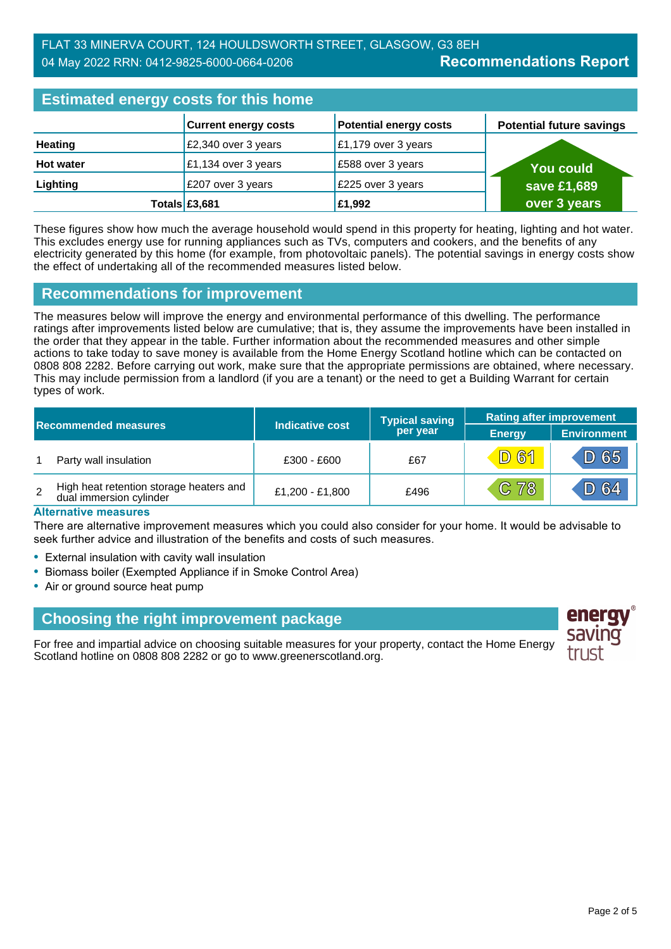#### **Recommendations Report** FLAT 33 MINERVA COURT, 124 HOULDSWORTH STREET, GLASGOW, G3 8EH 04 May 2022 RRN: 0412-9825-6000-0664-0206

| <b>Estimated energy costs for this home</b> |                             |                               |                                 |
|---------------------------------------------|-----------------------------|-------------------------------|---------------------------------|
|                                             | <b>Current energy costs</b> | <b>Potential energy costs</b> | <b>Potential future savings</b> |
| <b>Heating</b>                              | £2,340 over 3 years         | $E1,179$ over 3 years         |                                 |
| <b>Hot water</b>                            | £1,134 over 3 years         | £588 over 3 years             | <b>You could</b>                |
| Lighting                                    | £207 over 3 years           | £225 over 3 years             | save £1,689                     |
|                                             | Totals $£3,681$             | £1,992                        | over 3 years                    |

These figures show how much the average household would spend in this property for heating, lighting and hot water. This excludes energy use for running appliances such as TVs, computers and cookers, and the benefits of any electricity generated by this home (for example, from photovoltaic panels). The potential savings in energy costs show the effect of undertaking all of the recommended measures listed below.

#### **Recommendations for improvement**

The measures below will improve the energy and environmental performance of this dwelling. The performance ratings after improvements listed below are cumulative; that is, they assume the improvements have been installed in the order that they appear in the table. Further information about the recommended measures and other simple actions to take today to save money is available from the Home Energy Scotland hotline which can be contacted on 0808 808 2282. Before carrying out work, make sure that the appropriate permissions are obtained, where necessary. This may include permission from a landlord (if you are a tenant) or the need to get a Building Warrant for certain types of work.

|   |                                                                    |                        | <b>Typical saving</b> | <b>Rating after improvement</b> |                    |
|---|--------------------------------------------------------------------|------------------------|-----------------------|---------------------------------|--------------------|
|   | <b>Recommended measures</b>                                        | <b>Indicative cost</b> | per year              | <b>Energy</b>                   | <b>Environment</b> |
|   | Party wall insulation                                              | £300 - £600            | £67                   | <b>D61</b>                      | $D$ 65             |
| 2 | High heat retention storage heaters and<br>dual immersion cylinder | £1,200 - £1,800        | £496                  | $C$ 78                          | D 64               |

#### **Alternative measures**

There are alternative improvement measures which you could also consider for your home. It would be advisable to seek further advice and illustration of the benefits and costs of such measures.

- External insulation with cavity wall insulation
- Biomass boiler (Exempted Appliance if in Smoke Control Area)
- Air or ground source heat pump

#### **Choosing the right improvement package**

For free and impartial advice on choosing suitable measures for your property, contact the Home Energy Scotland hotline on 0808 808 2282 or go to www.greenerscotland.org.

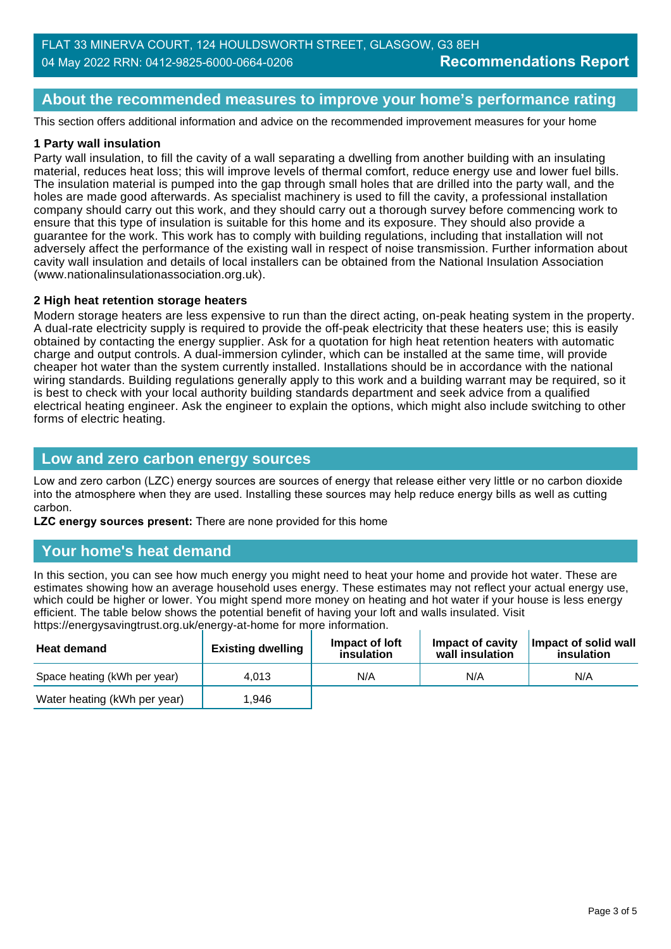### **About the recommended measures to improve your home's performance rating**

This section offers additional information and advice on the recommended improvement measures for your home

#### **1 Party wall insulation**

Party wall insulation, to fill the cavity of a wall separating a dwelling from another building with an insulating material, reduces heat loss; this will improve levels of thermal comfort, reduce energy use and lower fuel bills. The insulation material is pumped into the gap through small holes that are drilled into the party wall, and the holes are made good afterwards. As specialist machinery is used to fill the cavity, a professional installation company should carry out this work, and they should carry out a thorough survey before commencing work to ensure that this type of insulation is suitable for this home and its exposure. They should also provide a guarantee for the work. This work has to comply with building regulations, including that installation will not adversely affect the performance of the existing wall in respect of noise transmission. Further information about cavity wall insulation and details of local installers can be obtained from the National Insulation Association (www.nationalinsulationassociation.org.uk).

#### **2 High heat retention storage heaters**

Modern storage heaters are less expensive to run than the direct acting, on-peak heating system in the property. A dual-rate electricity supply is required to provide the off-peak electricity that these heaters use; this is easily obtained by contacting the energy supplier. Ask for a quotation for high heat retention heaters with automatic charge and output controls. A dual-immersion cylinder, which can be installed at the same time, will provide cheaper hot water than the system currently installed. Installations should be in accordance with the national wiring standards. Building regulations generally apply to this work and a building warrant may be required, so it is best to check with your local authority building standards department and seek advice from a qualified electrical heating engineer. Ask the engineer to explain the options, which might also include switching to other forms of electric heating.

#### **Low and zero carbon energy sources**

Low and zero carbon (LZC) energy sources are sources of energy that release either very little or no carbon dioxide into the atmosphere when they are used. Installing these sources may help reduce energy bills as well as cutting carbon.

**LZC energy sources present:** There are none provided for this home

#### **Your home's heat demand**

In this section, you can see how much energy you might need to heat your home and provide hot water. These are estimates showing how an average household uses energy. These estimates may not reflect your actual energy use, which could be higher or lower. You might spend more money on heating and hot water if your house is less energy efficient. The table below shows the potential benefit of having your loft and walls insulated. Visit https://energysavingtrust.org.uk/energy-at-home for more information.

| <b>Heat demand</b>           | --<br><b>Existing dwelling</b> | Impact of Joft<br>insulation | Impact of cavity<br>wall insulation | Impact of solid wall<br>insulation |
|------------------------------|--------------------------------|------------------------------|-------------------------------------|------------------------------------|
| Space heating (kWh per year) | 4.013                          | N/A                          | N/A                                 | N/A                                |
| Water heating (kWh per year) | 1.946                          |                              |                                     |                                    |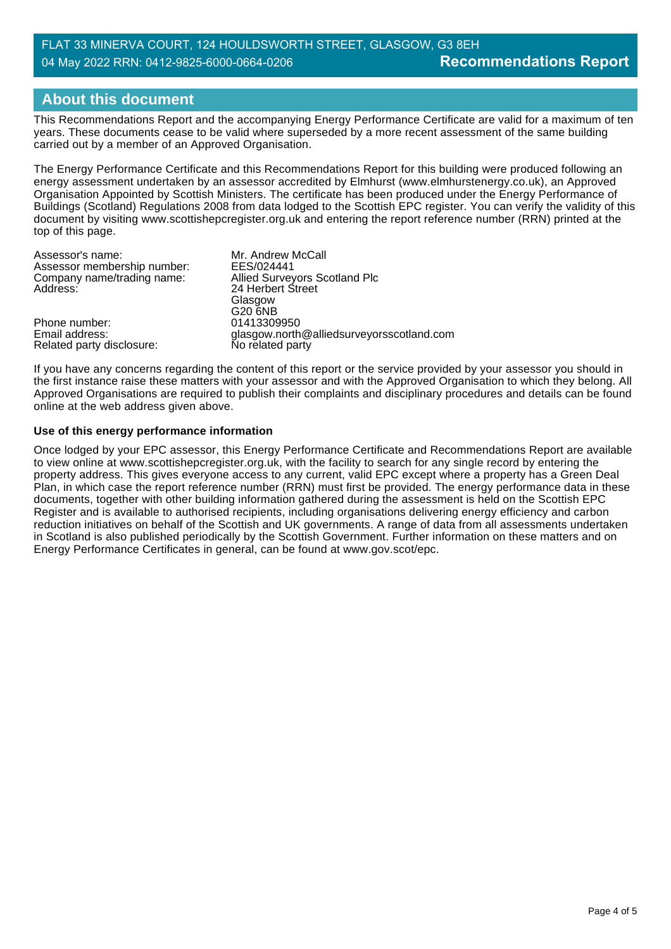#### **Recommendations Report** FLAT 33 MINERVA COURT, 124 HOULDSWORTH STREET, GLASGOW, G3 8EH 04 May 2022 RRN: 0412-9825-6000-0664-0206

## **About this document**

This Recommendations Report and the accompanying Energy Performance Certificate are valid for a maximum of ten years. These documents cease to be valid where superseded by a more recent assessment of the same building carried out by a member of an Approved Organisation.

The Energy Performance Certificate and this Recommendations Report for this building were produced following an energy assessment undertaken by an assessor accredited by Elmhurst (www.elmhurstenergy.co.uk), an Approved Organisation Appointed by Scottish Ministers. The certificate has been produced under the Energy Performance of Buildings (Scotland) Regulations 2008 from data lodged to the Scottish EPC register. You can verify the validity of this document by visiting www.scottishepcregister.org.uk and entering the report reference number (RRN) printed at the top of this page.

| Assessor's name:            | Mr. Andrew McCall                         |
|-----------------------------|-------------------------------------------|
| Assessor membership number: | EES/024441                                |
| Company name/trading name:  | Allied Surveyors Scotland Plc             |
| Address:                    | 24 Herbert Street                         |
|                             | Glasgow                                   |
|                             | G20 6NB                                   |
| Phone number:               | 01413309950                               |
| Email address:              | glasgow.north@alliedsurveyorsscotland.com |
| Related party disclosure:   | No related party                          |

If you have any concerns regarding the content of this report or the service provided by your assessor you should in the first instance raise these matters with your assessor and with the Approved Organisation to which they belong. All Approved Organisations are required to publish their complaints and disciplinary procedures and details can be found online at the web address given above.

#### **Use of this energy performance information**

Once lodged by your EPC assessor, this Energy Performance Certificate and Recommendations Report are available to view online at www.scottishepcregister.org.uk, with the facility to search for any single record by entering the property address. This gives everyone access to any current, valid EPC except where a property has a Green Deal Plan, in which case the report reference number (RRN) must first be provided. The energy performance data in these documents, together with other building information gathered during the assessment is held on the Scottish EPC Register and is available to authorised recipients, including organisations delivering energy efficiency and carbon reduction initiatives on behalf of the Scottish and UK governments. A range of data from all assessments undertaken in Scotland is also published periodically by the Scottish Government. Further information on these matters and on Energy Performance Certificates in general, can be found at www.gov.scot/epc.